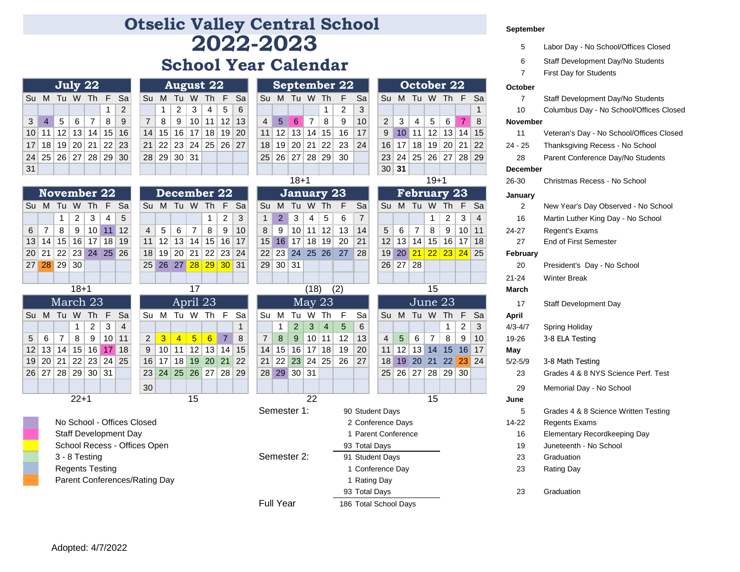## **2022-2023 Otselic Valley Central School**

## **School Year Calendar**

|    |                                               | July 22 |   |            |
|----|-----------------------------------------------|---------|---|------------|
|    | Su M Tu W Th F Sa                             |         |   |            |
|    |                                               |         | 1 | $\sqrt{2}$ |
|    | $3 \mid 4 \mid 5 \mid 6 \mid 7 \mid 8 \mid 9$ |         |   |            |
|    | 10 11 12 13 14 15 16                          |         |   |            |
|    | 17 18 19 20 21 22 23                          |         |   |            |
|    | 24 25 26 27 28 29 30                          |         |   |            |
| 31 |                                               |         |   |            |

|                 |           | July 22        |   |                |      |         | <b>August 22</b>     |                   |                 |   | September 22  |                 |                 |             |          |   |                   |  |
|-----------------|-----------|----------------|---|----------------|------|---------|----------------------|-------------------|-----------------|---|---------------|-----------------|-----------------|-------------|----------|---|-------------------|--|
|                 |           | Tu W Th F Sal  |   |                | Su M |         |                      |                   |                 |   | Tu W Th F Sal | <b>Su</b>       |                 | M Tu W Th F |          |   |                   |  |
|                 |           |                |   | $\mathfrak{p}$ |      |         | $+2+$                | $+3$ <sup>+</sup> | 4 <sup>1</sup>  | 5 | -6            |                 |                 |             |          |   |                   |  |
| 5 <sup>1</sup>  | 6         | 7              | 8 | 9              |      | 8       | 9                    | 10 <sup>1</sup>   | 11 <sup>1</sup> |   | $12$   13     | $\overline{4}$  | 5               | 6           | 7        | 8 | 9 <sup>1</sup>    |  |
|                 | $12$   13 | 14             |   | 15 16          |      | $14$ 15 |                      | 16 17 18 19 20    |                 |   |               | 11 <sup>1</sup> |                 |             |          |   | 12 13 14 15 16    |  |
| 19 <sup>1</sup> |           | 20 21 22 23    |   |                |      |         | 21 22 23 24 25 26 27 |                   |                 |   |               | 18 <sup>1</sup> | 19 <sup>1</sup> |             | 20 21 22 |   | 23                |  |
|                 |           | 26 27 28 29 30 |   |                |      |         | 28 29 30 31          |                   |                 |   |               |                 |                 |             |          |   | 25 26 27 28 29 30 |  |
|                 |           |                |   |                |      |         |                      |                   |                 |   |               |                 |                 |             |          |   |                   |  |

| September 22   |             |  |  |    |                   |               |  |  |  |  |  |  |  |
|----------------|-------------|--|--|----|-------------------|---------------|--|--|--|--|--|--|--|
| Su             | M Tu W Th F |  |  |    |                   |               |  |  |  |  |  |  |  |
|                |             |  |  | 1. | $\overline{2}$    | $\mathcal{B}$ |  |  |  |  |  |  |  |
| $\overline{4}$ |             |  |  |    | $56789$           | 10            |  |  |  |  |  |  |  |
|                |             |  |  |    | 11 12 13 14 15 16 | 17            |  |  |  |  |  |  |  |
|                |             |  |  |    | 18 19 20 21 22 23 | 24            |  |  |  |  |  |  |  |
|                |             |  |  |    | 25 26 27 28 29 30 |               |  |  |  |  |  |  |  |
|                |             |  |  |    |                   |               |  |  |  |  |  |  |  |

|                |    |    |        |                    |    |    |  |                |    |                |    |             |                |    |  |                |               | 18+1           |                            |                |    |  |
|----------------|----|----|--------|--------------------|----|----|--|----------------|----|----------------|----|-------------|----------------|----|--|----------------|---------------|----------------|----------------------------|----------------|----|--|
|                |    |    |        | <b>November 22</b> |    |    |  |                |    |                |    | December 22 |                |    |  | January 23     |               |                |                            |                |    |  |
| Su             | м  | Tu | W      | Th                 | F  | Sa |  | Su             | м  | Tu             | W  | Th          | F              | Sa |  | Su             | М             | Tu             | W                          | Th             | F  |  |
|                |    | 1  | 2      | 3                  | 4  | 5  |  |                |    |                |    | 1           | $\overline{2}$ | 3  |  | 1              | $\mathcal{P}$ | 3              | 4                          | 5              | 6  |  |
| 6              | 7  | 8  | 9      | 10                 | 11 | 12 |  | 4              | 5  | 6              | 7  | 8           | 9              | 10 |  | 8              | 9             | 10             | 11                         | 12             | 13 |  |
| 13             | 14 | 15 | 16     | 17                 | 18 | 19 |  | 11             | 12 | 13             | 14 | 15          | 16             | 17 |  | 15             | 16            | 17             | 18                         | 19             | 20 |  |
| 20             | 21 | 22 | 23     | 24                 | 25 | 26 |  | 18             | 19 | 20             | 21 | 22          | 23             | 24 |  | 22             | 23            | 24             | 25                         | 26             | 27 |  |
| 27             | 28 | 29 | 30     |                    |    |    |  | 25             | 26 | 27             | 28 | 29          | 30             | 31 |  | 29             | 30            | 31             |                            |                |    |  |
|                |    |    |        |                    |    |    |  |                |    |                |    |             |                |    |  |                |               |                |                            |                |    |  |
| 17<br>$18 + 1$ |    |    |        |                    |    |    |  |                |    |                |    |             |                |    |  |                |               | (18)           |                            | (2)            |    |  |
|                |    |    |        |                    |    |    |  | April 23       |    |                |    |             |                |    |  |                |               |                |                            |                |    |  |
|                |    |    |        | March 23           |    |    |  |                |    |                |    |             |                |    |  |                |               |                | $\overline{\text{May}}$ 23 |                |    |  |
| Su             | М  | Tu | W      | Th                 | F  | Sa |  | Su             | М  | Tu             | W  | Th          | F              | Sa |  | Su             | М             | Tu             | W                          | Th             | F  |  |
|                |    |    | 1      | 2                  | 3  | 4  |  |                |    |                |    |             |                | 1  |  |                | 1             | $\mathfrak{p}$ | 3                          | $\overline{4}$ | 5  |  |
| 5              | 6  | 7  | 8      | 9                  | 10 | 11 |  | $\overline{2}$ | 3  | $\overline{4}$ | 5  | 6           | $\overline{7}$ | 8  |  | $\overline{7}$ | 8             | 9              | 10                         | 11             | 12 |  |
| 12             | 13 | 14 | 15     | 16                 | 17 | 18 |  | 9              | 10 | 11             | 12 | 13          | 14             | 15 |  | 14             | 15            | 16             | 17                         | 18             | 19 |  |
| 19             | 20 | 21 | 22     | 23                 | 24 | 25 |  | 16             | 17 | 18             | 19 | 20          | 21             | 22 |  | 21             | 22            | 23             | 24                         | 25             | 26 |  |
| 26             | 27 | 28 | 29     | 30                 | 31 |    |  | 23             | 24 | 25             | 26 | 27          | 28             | 29 |  | 28             | 29            | 30             | 31                         |                |    |  |
|                |    |    |        |                    |    |    |  | 30             |    |                |    |             |                |    |  |                |               |                |                            |                |    |  |
|                |    |    | $22+1$ |                    |    |    |  |                |    |                | 15 |             |                |    |  |                |               |                | 22                         |                |    |  |

| 3  | $\overline{4}$         | 5              | 6        | 7                           | 8       | 9                            | $\overline{7}$                | 8              | 9                          |                | 10 11           | $12$ 13                 |              | $\overline{4}$  | 5 <sup>5</sup> | 6                 | 7               | 8                | 9           | 10             | $\overline{2}$      | 3          | 4              | $5\phantom{.0}$    | 6                     | 7                   | 8                    |  | <b>November</b> |                                          |
|----|------------------------|----------------|----------|-----------------------------|---------|------------------------------|-------------------------------|----------------|----------------------------|----------------|-----------------|-------------------------|--------------|-----------------|----------------|-------------------|-----------------|------------------|-------------|----------------|---------------------|------------|----------------|--------------------|-----------------------|---------------------|----------------------|--|-----------------|------------------------------------------|
|    | 10 11                  |                | 12 13    | 14                          | 15      | 16                           | 14                            |                | 15 16 17 18 19 20          |                |                 |                         |              | 11              |                | 12 13             | 14              | 15               | 16          | 17             | 9                   |            | $10$   11      | 12                 |                       | 13 14               | 15                   |  | 11              | Veteran's Day - No School/Offices Closed |
|    |                        |                |          | 17   18   19   20   21   22 |         | 23                           | 21                            |                | 22 23 24 25 26 27          |                |                 |                         |              | 18 <sup>1</sup> |                | 19 20             |                 | 21   22          | 23          | 24             | 16                  | 17         | 18             |                    |                       | 19 20 21            | 22                   |  | $24 - 25$       | Thanksgiving Recess - No School          |
|    |                        | 24 25 26 27    |          | 28                          | 29      | 30                           | 28                            |                | $29$ 30 31                 |                |                 |                         |              |                 |                | 25 26 27          |                 | 28 29            | 30          |                | 23                  | 24         | 25             |                    | 26 27                 |                     | 28 29                |  | 28              | Parent Conference Day/No Students        |
| 31 |                        |                |          |                             |         |                              |                               |                |                            |                |                 |                         |              |                 |                |                   |                 |                  |             |                |                     | 30 31      |                |                    |                       |                     |                      |  | <b>December</b> |                                          |
|    |                        |                |          |                             |         |                              |                               |                |                            |                |                 |                         |              |                 |                | $18 + 1$          |                 |                  |             |                |                     |            |                |                    | $19 + 1$              |                     |                      |  | 26-30           | Christmas Recess - No School             |
|    |                        |                |          | <b>November 22</b>          |         |                              |                               |                | December 22                |                |                 |                         |              |                 |                | <b>January 23</b> |                 |                  |             |                |                     |            |                | <b>February 23</b> |                       |                     |                      |  | January         |                                          |
|    |                        | Su M Tu W Th   |          |                             | F       | - Sa                         |                               |                | Su M Tu W Th               |                |                 | F                       | <b>Sa</b>    |                 |                | Su M Tu W Th      |                 |                  | E           | Sa             |                     |            |                | Su M Tu W Th       |                       | - F                 | <b>Sa</b>            |  | 2               | New Year's Day Observed - No School      |
|    |                        | 1              | 2        | 3                           | 4       | $\sqrt{5}$                   |                               |                |                            |                | 1               | $\overline{\mathbf{c}}$ | 3            | $\mathbf{1}$    | $\overline{2}$ | 3                 | 4               | 5                | 6           | $\overline{7}$ |                     |            |                | 1                  |                       | $\overline{c}$<br>3 | 4                    |  | 16              | Martin Luther King Day - No School       |
| 6  | $\overline{7}$         | 8              | 9        | 10                          | 11      | 12                           | 4                             | 5              | 6                          | $\overline{7}$ | 8               | 9                       | 10           | 8               | 9              | 10 <sup>1</sup>   |                 | 11 12            | 13          | 14             | 5                   | 6          | $\overline{7}$ | 8                  | 9                     | 10                  | 11                   |  | 24-27           | Regent's Exams                           |
|    | 13 14                  |                | 15 16 17 |                             | 18      | 19                           | 11                            |                | 12 13 14 15 16 17          |                |                 |                         |              | 15              |                | $16$   17         |                 | 18 19            | 20          | 21             | 12                  | 13         |                |                    |                       |                     | 14 15 16 17 18       |  | 27              | <b>End of First Semester</b>             |
|    |                        |                |          | 20 21 22 23 24 25 26        |         |                              | 18                            | 19             | 20                         |                | 21 22 23 24     |                         |              |                 | $22$ 23        |                   |                 |                  | 24 25 26 27 | 28             |                     |            |                |                    |                       |                     | 19 20 21 22 23 24 25 |  | February        |                                          |
|    |                        | 27 28 29 30    |          |                             |         |                              |                               |                | 25 26 27 28 29 30 31       |                |                 |                         |              |                 | $29$ 30 31     |                   |                 |                  |             |                |                     |            | $26$ 27 28     |                    |                       |                     |                      |  | 20              | President's Day - No School              |
|    |                        |                |          |                             |         |                              |                               |                |                            |                |                 |                         |              |                 |                |                   |                 |                  |             |                |                     |            |                |                    |                       |                     |                      |  | $21 - 24$       | <b>Winter Break</b>                      |
|    | $18 + 1$<br>17         |                |          |                             |         |                              |                               |                |                            |                |                 |                         |              | (18)            |                | (2)               |                 |                  | 15          |                |                     |            |                |                    |                       | <b>March</b>        |                      |  |                 |                                          |
|    | March 23<br>April 23   |                |          |                             |         |                              |                               |                | $\overline{\text{May}}$ 23 |                |                 |                         |              |                 |                |                   | June 23         |                  |             |                |                     |            |                | 17                 | Staff Development Day |                     |                      |  |                 |                                          |
|    |                        | Su M Tu W      |          | Th                          |         | F Sa                         |                               |                | Su M Tu W Th F             |                |                 |                         | Sa           | Su M            |                | Tu W              |                 | Th               | F           | Sa             |                     |            |                | Su M Tu W          | <b>Th</b>             | F                   | Sa                   |  | <b>April</b>    |                                          |
|    |                        |                | 1        | $\overline{2}$              | 3       | $\overline{4}$               |                               |                |                            |                |                 |                         | $\mathbf{1}$ |                 | $\mathbf{1}$   | $\overline{2}$    | 3               | $\overline{4}$   | 5           | 6              |                     |            |                |                    | 1                     | $\overline{2}$      | 3                    |  | $4/3 - 4/7$     | Spring Holiday                           |
| 5  | 6                      | $\overline{7}$ | 8        | 9                           | 10      | 11                           | $\overline{2}$                | 3 <sup>1</sup> | $\overline{4}$             | 5 <sup>1</sup> | $6\overline{6}$ | $\overline{7}$          | 8            | $\overline{7}$  | $\bf 8$        | 9                 | 10 <sup>1</sup> | 11               | 12          | 13             | $\overline{4}$      | $\sqrt{5}$ | 6              | $\overline{7}$     |                       | 8<br>9              | 10                   |  | 19-26           | 3-8 ELA Testing                          |
|    |                        | 12   13   14   | 15       | 16                          | $17$ 18 |                              | 9                             |                | 10 11                      |                | $12$ 13 14 15   |                         |              | 14              |                | 15 16             |                 | 17 18            | 19          | 20             | 11                  | 12         | 13             | 14                 | 15                    |                     | $16$ 17              |  | May             |                                          |
|    |                        |                |          | 19 20 21 22 23 24           |         | 25                           | 16                            | 17             |                            |                | 18 19 20        | 21                      | 22           | 21              | 22             |                   |                 | $23$ 24 25       | 26          | 27             | 18                  | 19         |                |                    |                       |                     | 20 21 22 23 24       |  | $5/2 - 5/9$     | 3-8 Math Testing                         |
|    |                        |                |          | 26   27   28   29   30   31 |         |                              | 23 <sup>1</sup>               |                | 24 25 26 27 28 29          |                |                 |                         |              |                 |                | 28 29 30 31       |                 |                  |             |                |                     |            |                | 25 26 27 28 29 30  |                       |                     |                      |  | 23              | Grades 4 & 8 NYS Science Perf. Test      |
|    |                        |                |          |                             |         |                              | 30                            |                |                            |                |                 |                         |              |                 |                |                   |                 |                  |             |                |                     |            |                |                    |                       |                     |                      |  | 29              | Memorial Day - No School                 |
|    |                        |                | $22 + 1$ |                             |         |                              |                               |                |                            | 15             |                 |                         |              |                 |                |                   | 22              |                  |             |                |                     |            |                | 15                 |                       |                     |                      |  | June            |                                          |
|    |                        |                |          |                             |         |                              |                               |                |                            |                |                 |                         |              | Semester 1:     |                |                   |                 |                  |             |                | 90 Student Days     |            |                |                    |                       |                     |                      |  | 5               | Grades 4 & 8 Science Written Testing     |
|    |                        |                |          |                             |         |                              | No School - Offices Closed    |                |                            |                |                 |                         |              |                 |                |                   |                 |                  |             |                | 2 Conference Days   |            |                |                    |                       |                     |                      |  | 14-22           | Regents Exams                            |
|    |                        |                |          |                             |         | <b>Staff Development Day</b> |                               |                |                            |                |                 |                         |              |                 |                |                   |                 |                  |             |                | 1 Parent Conference |            |                |                    |                       |                     |                      |  | 16              | Elementary Recordkeeping Day             |
|    |                        |                |          |                             |         |                              | School Recess - Offices Open  |                |                            |                |                 |                         |              |                 |                |                   |                 |                  |             |                | 93 Total Days       |            |                |                    |                       |                     |                      |  | 19              | Juneteenth - No School                   |
|    |                        |                |          | 3 - 8 Testing               |         |                              |                               |                |                            |                |                 |                         |              | Semester 2:     |                |                   |                 |                  |             |                | 91 Student Days     |            |                |                    |                       |                     |                      |  | 23              | Graduation                               |
|    | <b>Regents Testing</b> |                |          |                             |         |                              |                               |                |                            |                |                 |                         |              |                 |                |                   |                 | 1 Conference Day |             |                |                     |            |                |                    | 23                    | <b>Rating Day</b>   |                      |  |                 |                                          |
|    |                        |                |          |                             |         |                              | Parent Conferences/Rating Day |                |                            |                |                 |                         |              |                 |                |                   |                 |                  |             |                | 1 Rating Day        |            |                |                    |                       |                     |                      |  |                 |                                          |
|    |                        |                |          |                             |         |                              |                               |                |                            |                |                 |                         |              |                 |                |                   |                 |                  |             |                | 93 Total Days       |            |                |                    |                       |                     |                      |  | 23              | Graduation                               |

Full Year 186 Total School Days

**September**

|                |                   | COOME V        |                 |                 |                |                          |                |                             |              |                       |                |                   |                | <u>ATTAT MY PATTA</u> |                |                     |                 |                               |                |                |                |              | September       |                                          |
|----------------|-------------------|----------------|-----------------|-----------------|----------------|--------------------------|----------------|-----------------------------|--------------|-----------------------|----------------|-------------------|----------------|-----------------------|----------------|---------------------|-----------------|-------------------------------|----------------|----------------|----------------|--------------|-----------------|------------------------------------------|
|                |                   |                |                 |                 |                |                          |                | 2022-2023                   |              |                       |                |                   |                |                       |                |                     |                 |                               |                |                |                |              | 5               | Labor Day - No School/Offices Closed     |
|                |                   |                |                 |                 |                |                          |                | <b>School Year Calendar</b> |              |                       |                |                   |                |                       |                |                     |                 |                               |                |                |                |              | 6               | Staff Development Day/No Students        |
|                |                   |                |                 |                 |                |                          |                |                             |              |                       |                |                   |                |                       |                |                     |                 |                               |                |                |                |              | $\overline{7}$  | First Day for Students                   |
|                |                   |                |                 |                 |                | <b>August 22</b>         |                |                             |              |                       |                |                   |                | <b>September 22</b>   |                |                     |                 | October 22                    |                |                |                |              | October         |                                          |
| F              | Sa                | Su             |                 | M Tu            |                | W Th                     | F              | Sa                          |              | Su M Tu W Th          |                |                   |                | F                     | Sa             | Su                  |                 | M Tu W Th                     |                |                | - F            | Sa           | 7               | Staff Development Day/No Students        |
| 1              | $\overline{2}$    |                | $\mathbf{1}$    | 2               | 3              | $\overline{\mathbf{4}}$  | $\sqrt{5}$     | $6\phantom{1}6$             |              |                       |                |                   | $\mathbf{1}$   | $\overline{c}$        | 3              |                     |                 |                               |                |                |                | $\mathbf{1}$ | 10              | Columbus Day - No School/Offices Closed  |
| 8              | 9                 | $\overline{7}$ | 8               | 9               |                | 10 11                    | 12             | 13                          | 4            | 5                     | 6              | 7                 | 8              | 9                     | 10             | 2                   | 3               | 4                             | 5              | 6              | $\overline{7}$ | 8            | November        |                                          |
| 15             | 16                | 14             | 15 <sup>1</sup> |                 |                | $16$ 17 18 19            |                | 20                          |              | $11$   12  13  14  15 |                |                   |                | 16                    | 17             | 9                   |                 | $10$ 11 12 13 14              |                |                |                | 15           | 11              | Veteran's Day - No School/Offices Closed |
| 22             | 23                | 21             | 22              | 23              | 24             |                          | 25 26          | 27                          | 18           | 19   20   21   22     |                |                   |                | 23                    | 24             | 16                  | 17              |                               | $18$ 19 20     |                | 21             | 22           | $24 - 25$       | Thanksgiving Recess - No School          |
|                | 29 30             |                | 28 29           | 30 <sub>1</sub> | 31             |                          |                |                             |              | 25 26 27 28 29        |                |                   |                | 30                    |                | 23                  | 24              | 25                            | 26 27          |                | 28 29          |              | 28              | Parent Conference Day/No Students        |
|                |                   |                |                 |                 |                |                          |                |                             |              |                       |                |                   |                |                       |                | 30 <sup>1</sup>     | 31              |                               |                |                |                |              | <b>December</b> |                                          |
|                |                   |                |                 |                 |                |                          |                |                             |              |                       | $18 + 1$       |                   |                |                       |                |                     |                 |                               | $19 + 1$       |                |                |              | 26-30           | Christmas Recess - No School             |
| $2^{\circ}$    |                   |                |                 |                 |                | December 22              |                |                             |              |                       |                | <b>January 23</b> |                |                       |                |                     |                 | <b>February 23</b>            |                |                |                |              | January         |                                          |
| F              | Sa                | Su             | M               | Tu W            |                | Th                       | F              | Sa                          | Su           | M                     | Tu             | W                 | Th             | F                     | Sa             | Su                  | M               | Tu                            | W              | Th             | F              | Sa           | $\overline{2}$  | New Year's Day Observed - No School      |
| 4              | 5                 |                |                 |                 |                | $\mathbf{1}$             | 2              | 3                           | $\mathbf{1}$ | $\overline{2}$        | 3              | 4                 | 5              | 6                     | $\overline{7}$ |                     |                 |                               | $\mathbf{1}$   | $\overline{2}$ | 3              | 4            | 16              | Martin Luther King Day - No School       |
| 11             | 12                | 4              | 5               | 6               | 7              | 8                        | 9              | 10                          | 8            | 9                     | 10             | 11 12             |                | 13                    | 14             | 5                   | 6               | 7                             | 8              | 9              | 10             | 11           | 24-27           | Regent's Exams                           |
| 8              | 19                | 11             |                 | $12$   13   14  |                | 15                       | 16             | 17                          | 15           | 16                    | 17             | 18 19             |                | 20                    | 21             | 12 <sup>2</sup>     | 13              | 14                            | 15             | 16             | 17             | 18           | 27              | <b>End of First Semester</b>             |
| $25^{\circ}$   | 26                | 18             | 19              | 20              | 21             | 22                       | 23             | 24                          | 22           | 23                    | 24             | 25 26             |                | 27                    | 28             | 19                  | 20              | 21                            | 22             | 23             | 24             | 25           | February        |                                          |
|                |                   | 25             |                 |                 |                | 26 27 28 29 30           |                | 31                          | 29           | 30 <sup>2</sup>       | 31             |                   |                |                       |                | 26                  | 27              | 28                            |                |                |                |              | 20              | President's Day - No School              |
|                |                   |                |                 |                 |                |                          |                |                             |              |                       |                |                   |                |                       |                |                     |                 |                               |                |                |                |              | $21 - 24$       | <b>Winter Break</b>                      |
|                |                   |                |                 |                 | 17             |                          |                |                             |              |                       |                | (18)              |                | (2)                   |                |                     |                 |                               | 15             |                |                |              | March           |                                          |
|                |                   |                |                 |                 | April 23       |                          |                |                             |              |                       |                | May 23            |                |                       |                |                     |                 | $\overline{\mathrm{June}}~23$ |                |                |                |              | 17              | Staff Development Day                    |
| F              | Sa                | Su             | м               |                 | Tu W Th        |                          | $\mathsf F$    | Sa                          | Su           | M                     | Tu             | W                 | Th             | F                     | Sa             | Su                  | M               | Tu W                          |                | Th             | F              | Sa           | <b>April</b>    |                                          |
| 3              | $\overline{4}$    |                |                 |                 |                |                          |                | $\mathbf{1}$                |              | $\mathbf{1}$          | $\overline{2}$ | 3                 | $\overline{4}$ | 5                     | 6              |                     |                 |                               |                | $\mathbf{1}$   | $\overline{c}$ | 3            | $4/3 - 4/7$     | Spring Holiday                           |
|                | 10 11             | $\overline{2}$ | 3 <sup>2</sup>  | $\vert 4 \vert$ | 5 <sup>1</sup> | 6                        | $\overline{7}$ | 8                           | 7            | 8                     | 9              | 10 11             |                | 12                    | 13             | 4                   | 5               | 6                             | 7              | 8              | 9              | 10           | 19-26           | 3-8 ELA Testing                          |
| $\overline{7}$ | 18                | 9              |                 |                 |                | $10$   11   12   13   14 |                | 15                          | 14           | 15                    | 16             | 17 18             |                | 19                    | 20             | 11                  | 12              |                               | 13 14 15 16 17 |                |                |              | May             |                                          |
| $^{24}$        | 25                | 16             | 17              | 18              |                | 19 20 21                 |                | 22                          | 21           | 22                    | 23             | 24                | 25             | 26                    | 27             | 18                  | 19 <sup>°</sup> |                               | $20$ 21        | 22             | 23 24          |              | $5/2 - 5/9$     | 3-8 Math Testing                         |
| 31             |                   | 23             | 24              | 25              |                | 26 27                    | 28             | 29                          |              | 28 29 30 31           |                |                   |                |                       |                | 25 <sub>1</sub>     | 26              | 27                            | $28$ 29 30     |                |                |              | 23              | Grades 4 & 8 NYS Science Perf. Test      |
|                |                   | 30             |                 |                 |                |                          |                |                             |              |                       |                |                   |                |                       |                |                     |                 |                               |                |                |                |              | 29              | Memorial Day - No School                 |
|                |                   |                |                 |                 | 15             |                          |                |                             |              |                       |                | 22                |                |                       |                |                     |                 |                               | 15             |                |                |              | June            |                                          |
|                |                   |                |                 |                 |                |                          |                |                             |              | Semester 1:           |                |                   |                |                       |                | 90 Student Days     |                 |                               |                |                |                |              | 5               | Grades 4 & 8 Science Written Testing     |
|                | )ffices Closed    |                |                 |                 |                |                          |                |                             |              |                       |                |                   |                |                       |                | 2 Conference Days   |                 |                               |                |                |                |              | 14-22           | <b>Regents Exams</b>                     |
|                | ment Dav          |                |                 |                 |                |                          |                |                             |              |                       |                |                   |                |                       |                | 1 Parent Conference |                 |                               |                |                |                |              | 16              | Elementary Recordkeeping Day             |
|                | s - Offices Open  |                |                 |                 |                |                          |                |                             |              |                       |                |                   |                |                       |                | 93 Total Days       |                 |                               |                |                |                |              | 19              | Juneteenth - No School                   |
|                |                   |                |                 |                 |                |                          |                |                             |              | Semester 2:           |                |                   |                |                       |                | 91 Student Days     |                 |                               |                |                |                |              | 23              | Graduation                               |
| ing            |                   |                |                 |                 |                |                          |                |                             |              |                       |                |                   |                |                       |                | 1 Conference Day    |                 |                               |                |                |                |              | 23              | <b>Rating Day</b>                        |
|                | rences/Rating Day |                |                 |                 |                |                          |                |                             |              |                       |                |                   |                |                       |                | 1 Rating Day        |                 |                               |                |                |                |              |                 |                                          |
|                |                   |                |                 |                 |                |                          |                |                             |              |                       |                |                   |                |                       |                | 93 Total Davs       |                 |                               |                |                |                |              | 23              | Graduation                               |

## Adopted: 4/7/2022